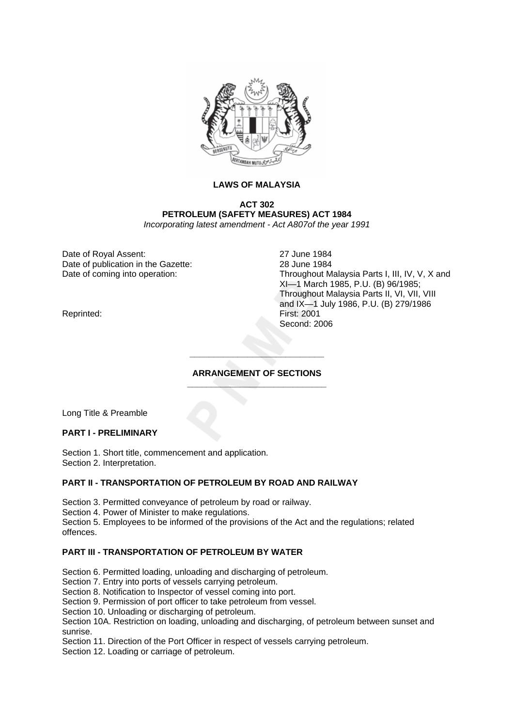

# **LAWS OF MALAYSIA**

**ACT 302 PETROLEUM (SAFETY MEASURES) ACT 1984**  *Incorporating latest amendment - Act A807of the year 1991* 

Date of Royal Assent: 27 June 1984 Date of publication in the Gazette: 28 June 1984

Date of coming into operation: Throughout Malaysia Parts I, III, IV, V, X and XI—1 March 1985, P.U. (B) 96/1985; Throughout Malaysia Parts II, VI, VII, VIII and IX—1 July 1986, P.U. (B) 279/1986 Second: 2006

Reprinted:

### **ARRANGEMENT OF SECTIONS \_\_\_\_\_\_\_\_\_\_\_\_\_\_\_\_\_\_\_\_\_\_\_\_\_\_\_\_\_**

**\_\_\_\_\_\_\_\_\_\_\_\_\_\_\_\_\_\_\_\_\_\_\_\_\_\_\_\_** 

Long Title & Preamble

### **PART I - PRELIMINARY**

Section 1. Short title, commencement and application. Section 2. Interpretation.

### **PART II - TRANSPORTATION OF PETROLEUM BY ROAD AND RAILWAY**

Section 3. Permitted conveyance of petroleum by road or railway.

Section 4. Power of Minister to make regulations.

Section 5. Employees to be informed of the provisions of the Act and the regulations; related offences.

# **PART III - TRANSPORTATION OF PETROLEUM BY WATER**

Section 6. Permitted loading, unloading and discharging of petroleum.

Section 7. Entry into ports of vessels carrying petroleum.

Section 8. Notification to Inspector of vessel coming into port.

Section 9. Permission of port officer to take petroleum from vessel.

Section 10. Unloading or discharging of petroleum.

Section 10A. Restriction on loading, unloading and discharging, of petroleum between sunset and sunrise.

Section 11. Direction of the Port Officer in respect of vessels carrying petroleum.

Section 12. Loading or carriage of petroleum.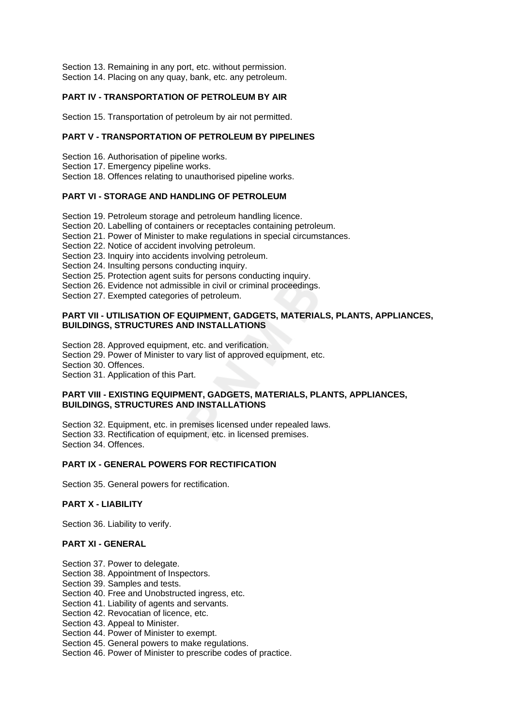Section 13. Remaining in any port, etc. without permission. Section 14. Placing on any quay, bank, etc. any petroleum.

# **PART IV - TRANSPORTATION OF PETROLEUM BY AIR**

Section 15. Transportation of petroleum by air not permitted.

# **PART V - TRANSPORTATION OF PETROLEUM BY PIPELINES**

Section 16. Authorisation of pipeline works.

- Section 17. Emergency pipeline works.
- Section 18. Offences relating to unauthorised pipeline works.

# **PART VI - STORAGE AND HANDLING OF PETROLEUM**

Section 19. Petroleum storage and petroleum handling licence.

- Section 20. Labelling of containers or receptacles containing petroleum.
- Section 21. Power of Minister to make regulations in special circumstances.
- Section 22. Notice of accident involving petroleum.
- Section 23. Inquiry into accidents involving petroleum.
- Section 24. Insulting persons conducting inquiry.
- Section 25. Protection agent suits for persons conducting inquiry.
- Section 26. Evidence not admissible in civil or criminal proceedings.
- Section 27. Exempted categories of petroleum.

### **PART VII - UTILISATION OF EQUIPMENT, GADGETS, MATERIALS, PLANTS, APPLIANCES, BUILDINGS, STRUCTURES AND INSTALLATIONS**

Section 28. Approved equipment, etc. and verification.

- Section 29. Power of Minister to vary list of approved equipment, etc.
- Section 30. Offences.
- Section 31. Application of this Part.

### **PART VIII - EXISTING EQUIPMENT, GADGETS, MATERIALS, PLANTS, APPLIANCES, BUILDINGS, STRUCTURES AND INSTALLATIONS**

Section 32. Equipment, etc. in premises licensed under repealed laws. Section 33. Rectification of equipment, etc. in licensed premises. Section 34. Offences.

# **PART IX - GENERAL POWERS FOR RECTIFICATION**

Section 35. General powers for rectification.

### **PART X - LIABILITY**

Section 36. Liability to verify.

### **PART XI - GENERAL**

- Section 37. Power to delegate.
- Section 38. Appointment of Inspectors.
- Section 39. Samples and tests.

Section 40. Free and Unobstructed ingress, etc.

- Section 41. Liability of agents and servants.
- Section 42. Revocatian of licence, etc.
- Section 43. Appeal to Minister.
- Section 44. Power of Minister to exempt.
- Section 45. General powers to make regulations.
- Section 46. Power of Minister to prescribe codes of practice.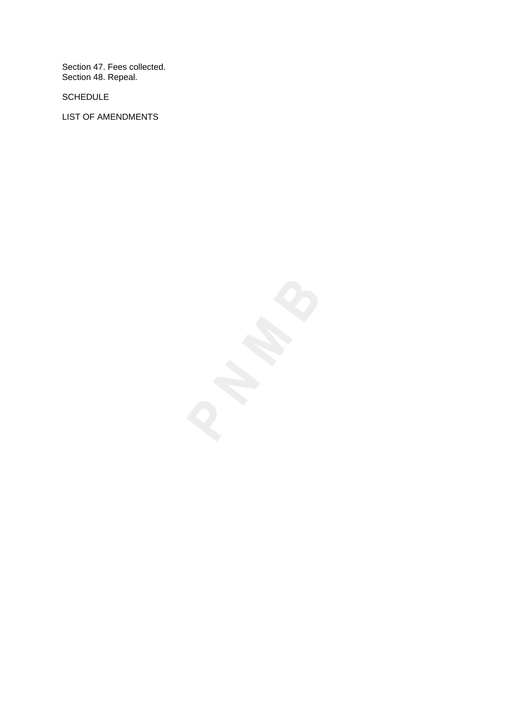Section 47. Fees collected. Section 48. Repeal.

SCHEDULE

LIST OF AMENDMENTS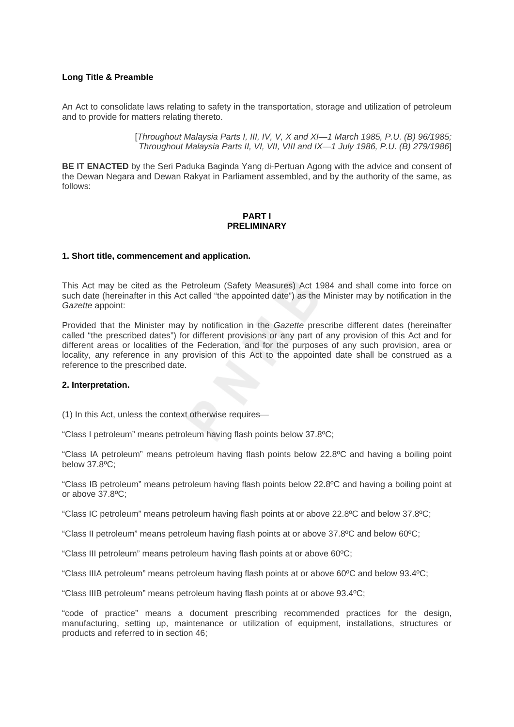### **Long Title & Preamble**

An Act to consolidate laws relating to safety in the transportation, storage and utilization of petroleum and to provide for matters relating thereto.

> [*Throughout Malaysia Parts I, III, IV, V, X and XI—1 March 1985, P.U. (B) 96/1985; Throughout Malaysia Parts II, VI, VII, VIII and IX—1 July 1986, P.U. (B) 279/1986*]

**BE IT ENACTED** by the Seri Paduka Baginda Yang di-Pertuan Agong with the advice and consent of the Dewan Negara and Dewan Rakyat in Parliament assembled, and by the authority of the same, as follows:

#### **PART I PRELIMINARY**

### **1. Short title, commencement and application.**

This Act may be cited as the Petroleum (Safety Measures) Act 1984 and shall come into force on such date (hereinafter in this Act called "the appointed date") as the Minister may by notification in the *Gazette* appoint:

Provided that the Minister may by notification in the *Gazette* prescribe different dates (hereinafter called "the prescribed dates") for different provisions or any part of any provision of this Act and for different areas or localities of the Federation, and for the purposes of any such provision, area or locality, any reference in any provision of this Act to the appointed date shall be construed as a reference to the prescribed date.

### **2. Interpretation.**

(1) In this Act, unless the context otherwise requires—

"Class I petroleum" means petroleum having flash points below 37.8ºC;

"Class IA petroleum" means petroleum having flash points below 22.8ºC and having a boiling point below 37.8ºC;

"Class IB petroleum" means petroleum having flash points below 22.8ºC and having a boiling point at or above 37.8ºC;

"Class IC petroleum" means petroleum having flash points at or above 22.8ºC and below 37.8ºC;

"Class II petroleum" means petroleum having flash points at or above 37.8ºC and below 60ºC;

"Class III petroleum" means petroleum having flash points at or above 60ºC;

"Class IIIA petroleum" means petroleum having flash points at or above 60ºC and below 93.4ºC;

"Class IIIB petroleum" means petroleum having flash points at or above 93.4ºC;

"code of practice" means a document prescribing recommended practices for the design, manufacturing, setting up, maintenance or utilization of equipment, installations, structures or products and referred to in section 46;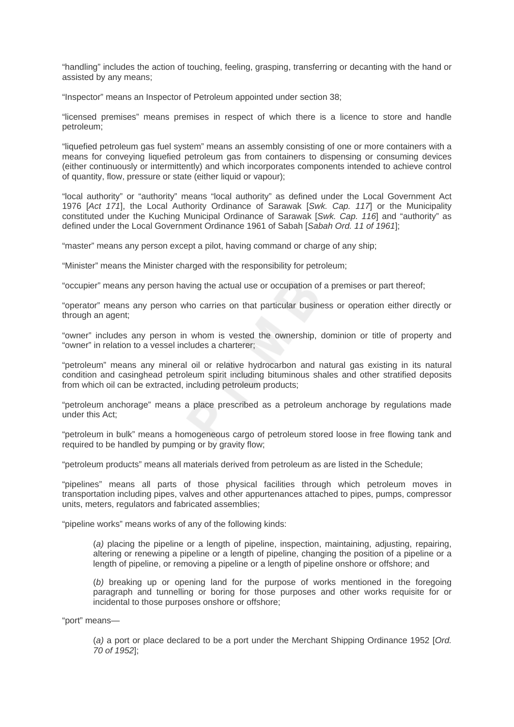"handling" includes the action of touching, feeling, grasping, transferring or decanting with the hand or assisted by any means;

"Inspector" means an Inspector of Petroleum appointed under section 38;

"licensed premises" means premises in respect of which there is a licence to store and handle petroleum;

"liquefied petroleum gas fuel system" means an assembly consisting of one or more containers with a means for conveying liquefied petroleum gas from containers to dispensing or consuming devices (either continuously or intermittently) and which incorporates components intended to achieve control of quantity, flow, pressure or state (either liquid or vapour);

"local authority" or "authority" means "local authority" as defined under the Local Government Act 1976 [*Act 171*], the Local Authority Ordinance of Sarawak [*Swk. Cap. 117*] or the Municipality constituted under the Kuching Municipal Ordinance of Sarawak [*Swk. Cap. 116*] and "authority" as defined under the Local Government Ordinance 1961 of Sabah [*Sabah Ord. 11 of 1961*];

"master" means any person except a pilot, having command or charge of any ship;

"Minister" means the Minister charged with the responsibility for petroleum;

"occupier" means any person having the actual use or occupation of a premises or part thereof;

"operator" means any person who carries on that particular business or operation either directly or through an agent;

"owner" includes any person in whom is vested the ownership, dominion or title of property and "owner" in relation to a vessel includes a charterer;

"petroleum" means any mineral oil or relative hydrocarbon and natural gas existing in its natural condition and casinghead petroleum spirit including bituminous shales and other stratified deposits from which oil can be extracted, including petroleum products;

"petroleum anchorage" means a place prescribed as a petroleum anchorage by regulations made under this Act;

"petroleum in bulk" means a homogeneous cargo of petroleum stored loose in free flowing tank and required to be handled by pumping or by gravity flow;

"petroleum products" means all materials derived from petroleum as are listed in the Schedule;

"pipelines" means all parts of those physical facilities through which petroleum moves in transportation including pipes, valves and other appurtenances attached to pipes, pumps, compressor units, meters, regulators and fabricated assemblies;

"pipeline works" means works of any of the following kinds:

(*a)* placing the pipeline or a length of pipeline, inspection, maintaining, adjusting, repairing, altering or renewing a pipeline or a length of pipeline, changing the position of a pipeline or a length of pipeline, or removing a pipeline or a length of pipeline onshore or offshore; and

(*b)* breaking up or opening land for the purpose of works mentioned in the foregoing paragraph and tunnelling or boring for those purposes and other works requisite for or incidental to those purposes onshore or offshore;

"port" means—

(*a)* a port or place declared to be a port under the Merchant Shipping Ordinance 1952 [*Ord. 70 of 1952*];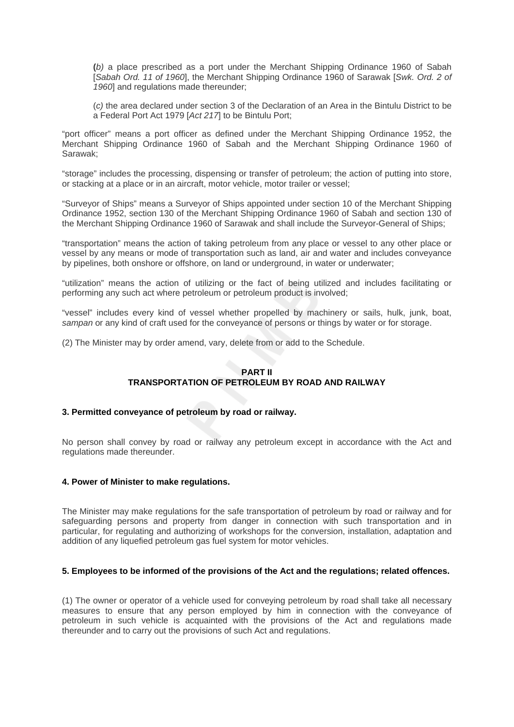**(***b)* a place prescribed as a port under the Merchant Shipping Ordinance 1960 of Sabah [*Sabah Ord. 11 of 1960*], the Merchant Shipping Ordinance 1960 of Sarawak [*Swk. Ord. 2 of 1960*] and regulations made thereunder;

(*c)* the area declared under section 3 of the Declaration of an Area in the Bintulu District to be a Federal Port Act 1979 [*Act 217*] to be Bintulu Port;

"port officer" means a port officer as defined under the Merchant Shipping Ordinance 1952, the Merchant Shipping Ordinance 1960 of Sabah and the Merchant Shipping Ordinance 1960 of Sarawak;

"storage" includes the processing, dispensing or transfer of petroleum; the action of putting into store, or stacking at a place or in an aircraft, motor vehicle, motor trailer or vessel;

"Surveyor of Ships" means a Surveyor of Ships appointed under section 10 of the Merchant Shipping Ordinance 1952, section 130 of the Merchant Shipping Ordinance 1960 of Sabah and section 130 of the Merchant Shipping Ordinance 1960 of Sarawak and shall include the Surveyor-General of Ships;

"transportation" means the action of taking petroleum from any place or vessel to any other place or vessel by any means or mode of transportation such as land, air and water and includes conveyance by pipelines, both onshore or offshore, on land or underground, in water or underwater;

"utilization" means the action of utilizing or the fact of being utilized and includes facilitating or performing any such act where petroleum or petroleum product is involved;

"vessel" includes every kind of vessel whether propelled by machinery or sails, hulk, junk, boat, *sampan* or any kind of craft used for the conveyance of persons or things by water or for storage.

(2) The Minister may by order amend, vary, delete from or add to the Schedule.

# **PART II TRANSPORTATION OF PETROLEUM BY ROAD AND RAILWAY**

### **3. Permitted conveyance of petroleum by road or railway.**

No person shall convey by road or railway any petroleum except in accordance with the Act and regulations made thereunder.

### **4. Power of Minister to make regulations.**

The Minister may make regulations for the safe transportation of petroleum by road or railway and for safeguarding persons and property from danger in connection with such transportation and in particular, for regulating and authorizing of workshops for the conversion, installation, adaptation and addition of any liquefied petroleum gas fuel system for motor vehicles.

# **5. Employees to be informed of the provisions of the Act and the regulations; related offences.**

(1) The owner or operator of a vehicle used for conveying petroleum by road shall take all necessary measures to ensure that any person employed by him in connection with the conveyance of petroleum in such vehicle is acquainted with the provisions of the Act and regulations made thereunder and to carry out the provisions of such Act and regulations.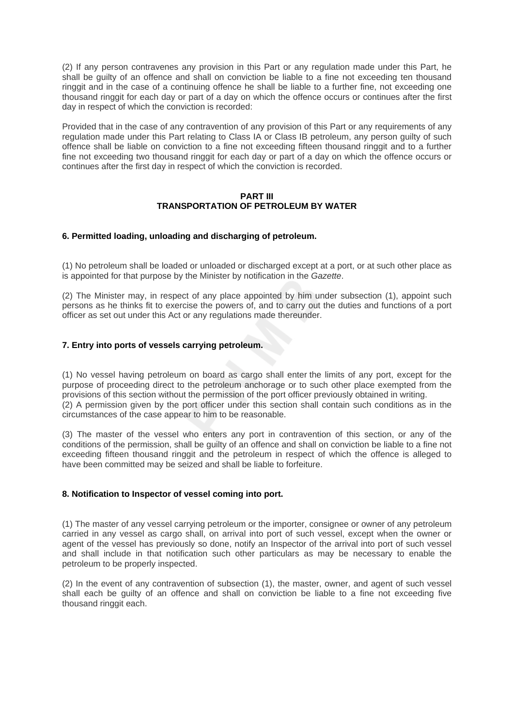(2) If any person contravenes any provision in this Part or any regulation made under this Part, he shall be guilty of an offence and shall on conviction be liable to a fine not exceeding ten thousand ringgit and in the case of a continuing offence he shall be liable to a further fine, not exceeding one thousand ringgit for each day or part of a day on which the offence occurs or continues after the first day in respect of which the conviction is recorded:

Provided that in the case of any contravention of any provision of this Part or any requirements of any regulation made under this Part relating to Class IA or Class IB petroleum, any person guilty of such offence shall be liable on conviction to a fine not exceeding fifteen thousand ringgit and to a further fine not exceeding two thousand ringgit for each day or part of a day on which the offence occurs or continues after the first day in respect of which the conviction is recorded.

### **PART III TRANSPORTATION OF PETROLEUM BY WATER**

### **6. Permitted loading, unloading and discharging of petroleum.**

(1) No petroleum shall be loaded or unloaded or discharged except at a port, or at such other place as is appointed for that purpose by the Minister by notification in the *Gazette*.

(2) The Minister may, in respect of any place appointed by him under subsection (1), appoint such persons as he thinks fit to exercise the powers of, and to carry out the duties and functions of a port officer as set out under this Act or any regulations made thereunder.

### **7. Entry into ports of vessels carrying petroleum.**

(1) No vessel having petroleum on board as cargo shall enter the limits of any port, except for the purpose of proceeding direct to the petroleum anchorage or to such other place exempted from the provisions of this section without the permission of the port officer previously obtained in writing. (2) A permission given by the port officer under this section shall contain such conditions as in the circumstances of the case appear to him to be reasonable.

(3) The master of the vessel who enters any port in contravention of this section, or any of the conditions of the permission, shall be guilty of an offence and shall on conviction be liable to a fine not exceeding fifteen thousand ringgit and the petroleum in respect of which the offence is alleged to have been committed may be seized and shall be liable to forfeiture.

### **8. Notification to Inspector of vessel coming into port.**

(1) The master of any vessel carrying petroleum or the importer, consignee or owner of any petroleum carried in any vessel as cargo shall, on arrival into port of such vessel, except when the owner or agent of the vessel has previously so done, notify an Inspector of the arrival into port of such vessel and shall include in that notification such other particulars as may be necessary to enable the petroleum to be properly inspected.

(2) In the event of any contravention of subsection (1), the master, owner, and agent of such vessel shall each be guilty of an offence and shall on conviction be liable to a fine not exceeding five thousand ringgit each.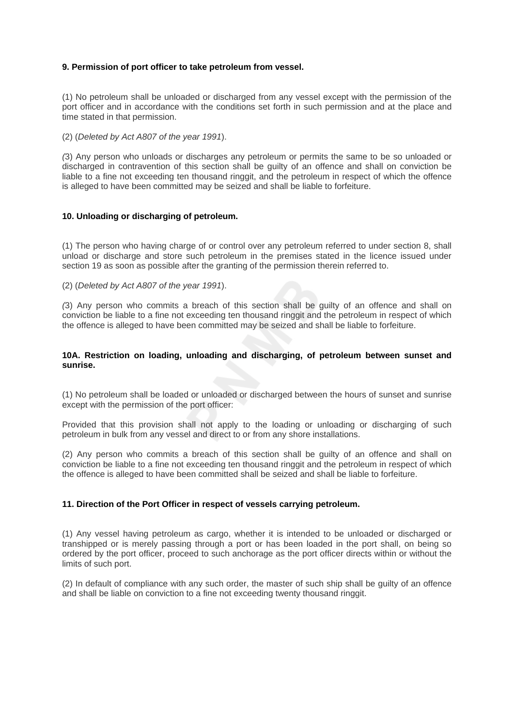### **9. Permission of port officer to take petroleum from vessel.**

(1) No petroleum shall be unloaded or discharged from any vessel except with the permission of the port officer and in accordance with the conditions set forth in such permission and at the place and time stated in that permission.

(2) (*Deleted by Act A807 of the year 1991*).

*(*3) Any person who unloads or discharges any petroleum or permits the same to be so unloaded or discharged in contravention of this section shall be guilty of an offence and shall on conviction be liable to a fine not exceeding ten thousand ringgit, and the petroleum in respect of which the offence is alleged to have been committed may be seized and shall be liable to forfeiture.

### **10. Unloading or discharging of petroleum.**

(1) The person who having charge of or control over any petroleum referred to under section 8, shall unload or discharge and store such petroleum in the premises stated in the licence issued under section 19 as soon as possible after the granting of the permission therein referred to.

(2) (*Deleted by Act A807 of the year 1991*).

*(*3) Any person who commits a breach of this section shall be guilty of an offence and shall on conviction be liable to a fine not exceeding ten thousand ringgit and the petroleum in respect of which the offence is alleged to have been committed may be seized and shall be liable to forfeiture.

### **10A. Restriction on loading, unloading and discharging, of petroleum between sunset and sunrise.**

(1) No petroleum shall be loaded or unloaded or discharged between the hours of sunset and sunrise except with the permission of the port officer:

Provided that this provision shall not apply to the loading or unloading or discharging of such petroleum in bulk from any vessel and direct to or from any shore installations.

(2) Any person who commits a breach of this section shall be guilty of an offence and shall on conviction be liable to a fine not exceeding ten thousand ringgit and the petroleum in respect of which the offence is alleged to have been committed shall be seized and shall be liable to forfeiture.

### **11. Direction of the Port Officer in respect of vessels carrying petroleum.**

(1) Any vessel having petroleum as cargo, whether it is intended to be unloaded or discharged or transhipped or is merely passing through a port or has been loaded in the port shall, on being so ordered by the port officer, proceed to such anchorage as the port officer directs within or without the limits of such port.

(2) In default of compliance with any such order, the master of such ship shall be guilty of an offence and shall be liable on conviction to a fine not exceeding twenty thousand ringgit.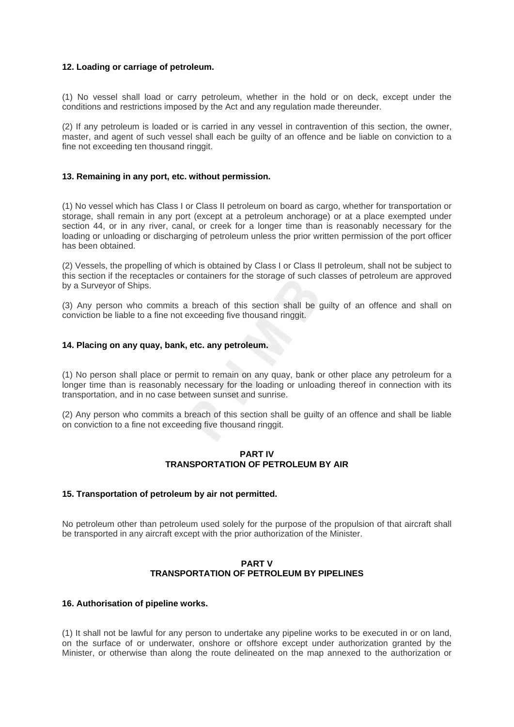### **12. Loading or carriage of petroleum.**

(1) No vessel shall load or carry petroleum, whether in the hold or on deck, except under the conditions and restrictions imposed by the Act and any regulation made thereunder.

(2) If any petroleum is loaded or is carried in any vessel in contravention of this section, the owner, master, and agent of such vessel shall each be guilty of an offence and be liable on conviction to a fine not exceeding ten thousand ringgit.

### **13. Remaining in any port, etc. without permission.**

(1) No vessel which has Class I or Class II petroleum on board as cargo, whether for transportation or storage, shall remain in any port (except at a petroleum anchorage) or at a place exempted under section 44, or in any river, canal, or creek for a longer time than is reasonably necessary for the loading or unloading or discharging of petroleum unless the prior written permission of the port officer has been obtained.

(2) Vessels, the propelling of which is obtained by Class I or Class II petroleum, shall not be subject to this section if the receptacles or containers for the storage of such classes of petroleum are approved by a Surveyor of Ships.

(3) Any person who commits a breach of this section shall be guilty of an offence and shall on conviction be liable to a fine not exceeding five thousand ringgit.

### **14. Placing on any quay, bank, etc. any petroleum.**

(1) No person shall place or permit to remain on any quay, bank or other place any petroleum for a longer time than is reasonably necessary for the loading or unloading thereof in connection with its transportation, and in no case between sunset and sunrise.

(2) Any person who commits a breach of this section shall be guilty of an offence and shall be liable on conviction to a fine not exceeding five thousand ringgit.

### **PART IV TRANSPORTATION OF PETROLEUM BY AIR**

### **15. Transportation of petroleum by air not permitted.**

No petroleum other than petroleum used solely for the purpose of the propulsion of that aircraft shall be transported in any aircraft except with the prior authorization of the Minister.

# **PART V TRANSPORTATION OF PETROLEUM BY PIPELINES**

### **16. Authorisation of pipeline works.**

(1) It shall not be lawful for any person to undertake any pipeline works to be executed in or on land, on the surface of or underwater, onshore or offshore except under authorization granted by the Minister, or otherwise than along the route delineated on the map annexed to the authorization or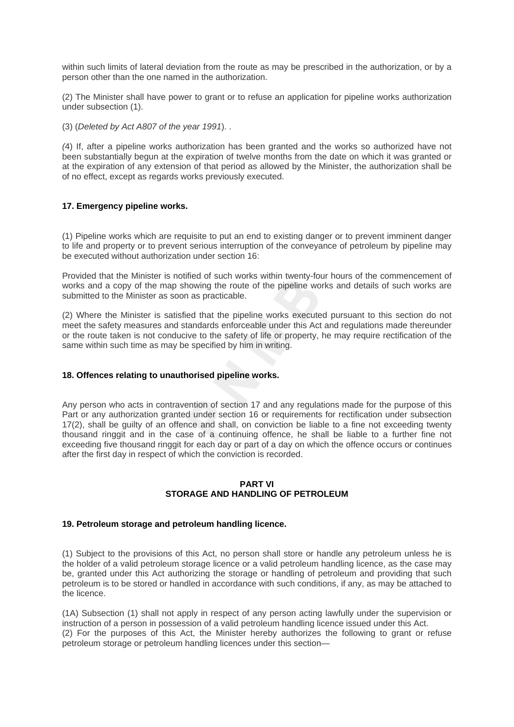within such limits of lateral deviation from the route as may be prescribed in the authorization, or by a person other than the one named in the authorization.

(2) The Minister shall have power to grant or to refuse an application for pipeline works authorization under subsection (1).

(3) (*Deleted by Act A807 of the year 1991*). .

*(*4) If, after a pipeline works authorization has been granted and the works so authorized have not been substantially begun at the expiration of twelve months from the date on which it was granted or at the expiration of any extension of that period as allowed by the Minister, the authorization shall be of no effect, except as regards works previously executed.

### **17. Emergency pipeline works.**

(1) Pipeline works which are requisite to put an end to existing danger or to prevent imminent danger to life and property or to prevent serious interruption of the conveyance of petroleum by pipeline may be executed without authorization under section 16:

Provided that the Minister is notified of such works within twenty-four hours of the commencement of works and a copy of the map showing the route of the pipeline works and details of such works are submitted to the Minister as soon as practicable.

(2) Where the Minister is satisfied that the pipeline works executed pursuant to this section do not meet the safety measures and standards enforceable under this Act and regulations made thereunder or the route taken is not conducive to the safety of life or property, he may require rectification of the same within such time as may be specified by him in writing.

### **18. Offences relating to unauthorised pipeline works.**

Any person who acts in contravention of section 17 and any regulations made for the purpose of this Part or any authorization granted under section 16 or requirements for rectification under subsection 17(2), shall be guilty of an offence and shall, on conviction be liable to a fine not exceeding twenty thousand ringgit and in the case of a continuing offence, he shall be liable to a further fine not exceeding five thousand ringgit for each day or part of a day on which the offence occurs or continues after the first day in respect of which the conviction is recorded.

### **PART VI STORAGE AND HANDLING OF PETROLEUM**

### **19. Petroleum storage and petroleum handling licence.**

(1) Subject to the provisions of this Act, no person shall store or handle any petroleum unless he is the holder of a valid petroleum storage licence or a valid petroleum handling licence, as the case may be, granted under this Act authorizing the storage or handling of petroleum and providing that such petroleum is to be stored or handled in accordance with such conditions, if any, as may be attached to the licence.

(1A) Subsection (1) shall not apply in respect of any person acting lawfully under the supervision or instruction of a person in possession of a valid petroleum handling licence issued under this Act. (2) For the purposes of this Act, the Minister hereby authorizes the following to grant or refuse petroleum storage or petroleum handling licences under this section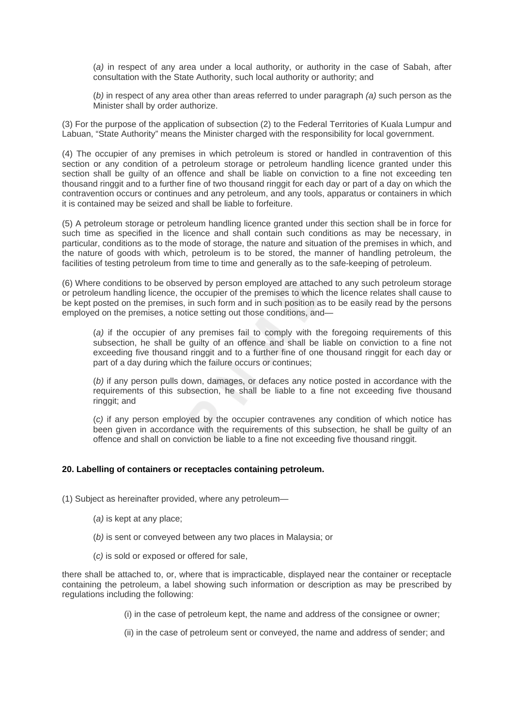(*a)* in respect of any area under a local authority, or authority in the case of Sabah, after consultation with the State Authority, such local authority or authority; and

(*b)* in respect of any area other than areas referred to under paragraph *(a)* such person as the Minister shall by order authorize.

(3) For the purpose of the application of subsection (2) to the Federal Territories of Kuala Lumpur and Labuan, "State Authority" means the Minister charged with the responsibility for local government.

(4) The occupier of any premises in which petroleum is stored or handled in contravention of this section or any condition of a petroleum storage or petroleum handling licence granted under this section shall be guilty of an offence and shall be liable on conviction to a fine not exceeding ten thousand ringgit and to a further fine of two thousand ringgit for each day or part of a day on which the contravention occurs or continues and any petroleum, and any tools, apparatus or containers in which it is contained may be seized and shall be liable to forfeiture.

(5) A petroleum storage or petroleum handling licence granted under this section shall be in force for such time as specified in the licence and shall contain such conditions as may be necessary, in particular, conditions as to the mode of storage, the nature and situation of the premises in which, and the nature of goods with which, petroleum is to be stored, the manner of handling petroleum, the facilities of testing petroleum from time to time and generally as to the safe-keeping of petroleum.

(6) Where conditions to be observed by person employed are attached to any such petroleum storage or petroleum handling licence, the occupier of the premises to which the licence relates shall cause to be kept posted on the premises, in such form and in such position as to be easily read by the persons employed on the premises, a notice setting out those conditions, and—

(*a)* if the occupier of any premises fail to comply with the foregoing requirements of this subsection, he shall be guilty of an offence and shall be liable on conviction to a fine not exceeding five thousand ringgit and to a further fine of one thousand ringgit for each day or part of a day during which the failure occurs or continues;

(*b)* if any person pulls down, damages, or defaces any notice posted in accordance with the requirements of this subsection, he shall be liable to a fine not exceeding five thousand ringgit; and

(*c)* if any person employed by the occupier contravenes any condition of which notice has been given in accordance with the requirements of this subsection, he shall be guilty of an offence and shall on conviction be liable to a fine not exceeding five thousand ringgit.

### **20. Labelling of containers or receptacles containing petroleum.**

(1) Subject as hereinafter provided, where any petroleum—

- (*a)* is kept at any place;
- (*b)* is sent or conveyed between any two places in Malaysia; or
- (*c)* is sold or exposed or offered for sale,

there shall be attached to, or, where that is impracticable, displayed near the container or receptacle containing the petroleum, a label showing such information or description as may be prescribed by regulations including the following:

(i) in the case of petroleum kept, the name and address of the consignee or owner;

(ii) in the case of petroleum sent or conveyed, the name and address of sender; and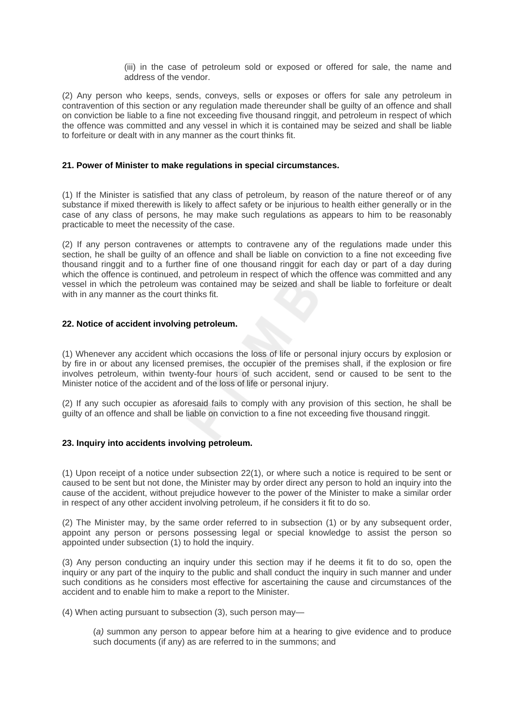(iii) in the case of petroleum sold or exposed or offered for sale, the name and address of the vendor.

(2) Any person who keeps, sends, conveys, sells or exposes or offers for sale any petroleum in contravention of this section or any regulation made thereunder shall be guilty of an offence and shall on conviction be liable to a fine not exceeding five thousand ringgit, and petroleum in respect of which the offence was committed and any vessel in which it is contained may be seized and shall be liable to forfeiture or dealt with in any manner as the court thinks fit.

# **21. Power of Minister to make regulations in special circumstances.**

(1) If the Minister is satisfied that any class of petroleum, by reason of the nature thereof or of any substance if mixed therewith is likely to affect safety or be injurious to health either generally or in the case of any class of persons, he may make such regulations as appears to him to be reasonably practicable to meet the necessity of the case.

(2) If any person contravenes or attempts to contravene any of the regulations made under this section, he shall be guilty of an offence and shall be liable on conviction to a fine not exceeding five thousand ringgit and to a further fine of one thousand ringgit for each day or part of a day during which the offence is continued, and petroleum in respect of which the offence was committed and any vessel in which the petroleum was contained may be seized and shall be liable to forfeiture or dealt with in any manner as the court thinks fit.

### **22. Notice of accident involving petroleum.**

(1) Whenever any accident which occasions the loss of life or personal injury occurs by explosion or by fire in or about any licensed premises, the occupier of the premises shall, if the explosion or fire involves petroleum, within twenty-four hours of such accident, send or caused to be sent to the Minister notice of the accident and of the loss of life or personal injury.

(2) If any such occupier as aforesaid fails to comply with any provision of this section, he shall be guilty of an offence and shall be liable on conviction to a fine not exceeding five thousand ringgit.

### **23. Inquiry into accidents involving petroleum.**

(1) Upon receipt of a notice under subsection 22(1), or where such a notice is required to be sent or caused to be sent but not done, the Minister may by order direct any person to hold an inquiry into the cause of the accident, without prejudice however to the power of the Minister to make a similar order in respect of any other accident involving petroleum, if he considers it fit to do so.

(2) The Minister may, by the same order referred to in subsection (1) or by any subsequent order, appoint any person or persons possessing legal or special knowledge to assist the person so appointed under subsection (1) to hold the inquiry.

(3) Any person conducting an inquiry under this section may if he deems it fit to do so, open the inquiry or any part of the inquiry to the public and shall conduct the inquiry in such manner and under such conditions as he considers most effective for ascertaining the cause and circumstances of the accident and to enable him to make a report to the Minister.

(4) When acting pursuant to subsection (3), such person may—

(*a)* summon any person to appear before him at a hearing to give evidence and to produce such documents (if any) as are referred to in the summons; and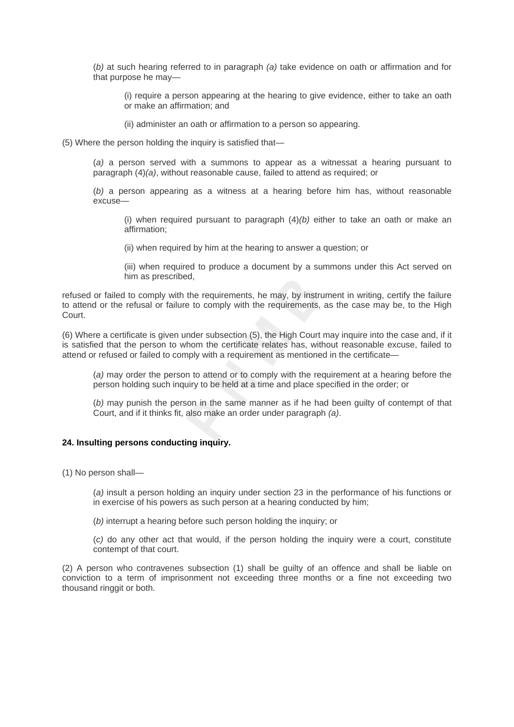(*b)* at such hearing referred to in paragraph *(a)* take evidence on oath or affirmation and for that purpose he may—

(i) require a person appearing at the hearing to give evidence, either to take an oath or make an affirmation; and

(ii) administer an oath or affirmation to a person so appearing.

(5) Where the person holding the inquiry is satisfied that—

(*a)* a person served with a summons to appear as a witnessat a hearing pursuant to paragraph (4)*(a)*, without reasonable cause, failed to attend as required; or

(*b)* a person appearing as a witness at a hearing before him has, without reasonable excuse—

(i) when required pursuant to paragraph (4)*(b)* either to take an oath or make an affirmation;

(ii) when required by him at the hearing to answer a question; or

(iii) when required to produce a document by a summons under this Act served on him as prescribed,

refused or failed to comply with the requirements, he may, by instrument in writing, certify the failure to attend or the refusal or failure to comply with the requirements, as the case may be, to the High Court.

(6) Where a certificate is given under subsection (5), the High Court may inquire into the case and, if it is satisfied that the person to whom the certificate relates has, without reasonable excuse, failed to attend or refused or failed to comply with a requirement as mentioned in the certificate—

(*a)* may order the person to attend or to comply with the requirement at a hearing before the person holding such inquiry to be held at a time and place specified in the order; or

(*b)* may punish the person in the same manner as if he had been guilty of contempt of that Court, and if it thinks fit, also make an order under paragraph *(a)*.

### **24. Insulting persons conducting inquiry.**

(1) No person shall—

(*a)* insult a person holding an inquiry under section 23 in the performance of his functions or in exercise of his powers as such person at a hearing conducted by him;

(*b)* interrupt a hearing before such person holding the inquiry; or

(*c)* do any other act that would, if the person holding the inquiry were a court, constitute contempt of that court.

(2) A person who contravenes subsection (1) shall be guilty of an offence and shall be liable on conviction to a term of imprisonment not exceeding three months or a fine not exceeding two thousand ringgit or both.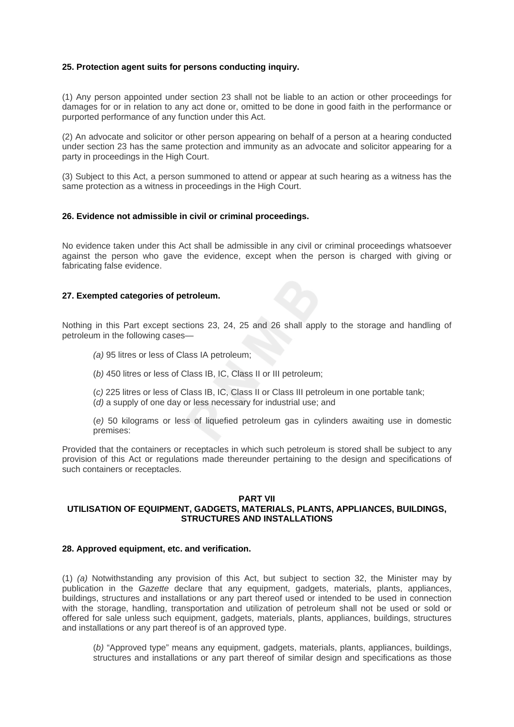### **25. Protection agent suits for persons conducting inquiry.**

(1) Any person appointed under section 23 shall not be liable to an action or other proceedings for damages for or in relation to any act done or, omitted to be done in good faith in the performance or purported performance of any function under this Act.

(2) An advocate and solicitor or other person appearing on behalf of a person at a hearing conducted under section 23 has the same protection and immunity as an advocate and solicitor appearing for a party in proceedings in the High Court.

(3) Subject to this Act, a person summoned to attend or appear at such hearing as a witness has the same protection as a witness in proceedings in the High Court.

### **26. Evidence not admissible in civil or criminal proceedings.**

No evidence taken under this Act shall be admissible in any civil or criminal proceedings whatsoever against the person who gave the evidence, except when the person is charged with giving or fabricating false evidence.

### **27. Exempted categories of petroleum.**

Nothing in this Part except sections 23, 24, 25 and 26 shall apply to the storage and handling of petroleum in the following cases—

- *(a)* 95 litres or less of Class IA petroleum;
- (*b)* 450 litres or less of Class IB, IC, Class II or III petroleum;
- (*c)* 225 litres or less of Class IB, IC, Class II or Class III petroleum in one portable tank; (*d)* a supply of one day or less necessary for industrial use; and
- (*e)* 50 kilograms or less of liquefied petroleum gas in cylinders awaiting use in domestic premises:

Provided that the containers or receptacles in which such petroleum is stored shall be subject to any provision of this Act or regulations made thereunder pertaining to the design and specifications of such containers or receptacles.

#### **PART VII**

# **UTILISATION OF EQUIPMENT, GADGETS, MATERIALS, PLANTS, APPLIANCES, BUILDINGS, STRUCTURES AND INSTALLATIONS**

### **28. Approved equipment, etc. and verification.**

(1) *(a)* Notwithstanding any provision of this Act, but subject to section 32, the Minister may by publication in the *Gazette* declare that any equipment, gadgets, materials, plants, appliances, buildings, structures and installations or any part thereof used or intended to be used in connection with the storage, handling, transportation and utilization of petroleum shall not be used or sold or offered for sale unless such equipment, gadgets, materials, plants, appliances, buildings, structures and installations or any part thereof is of an approved type.

(*b)* "Approved type" means any equipment, gadgets, materials, plants, appliances, buildings, structures and installations or any part thereof of similar design and specifications as those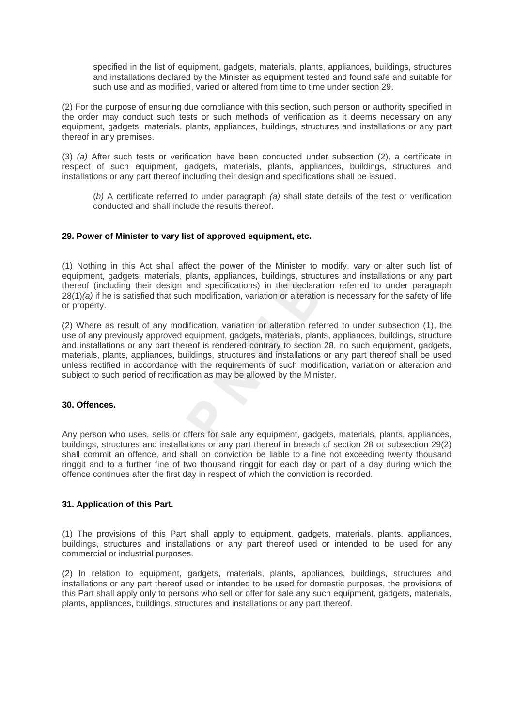specified in the list of equipment, gadgets, materials, plants, appliances, buildings, structures and installations declared by the Minister as equipment tested and found safe and suitable for such use and as modified, varied or altered from time to time under section 29.

(2) For the purpose of ensuring due compliance with this section, such person or authority specified in the order may conduct such tests or such methods of verification as it deems necessary on any equipment, gadgets, materials, plants, appliances, buildings, structures and installations or any part thereof in any premises.

(3) *(a)* After such tests or verification have been conducted under subsection (2), a certificate in respect of such equipment, gadgets, materials, plants, appliances, buildings, structures and installations or any part thereof including their design and specifications shall be issued.

(*b)* A certificate referred to under paragraph *(a)* shall state details of the test or verification conducted and shall include the results thereof.

### **29. Power of Minister to vary list of approved equipment, etc.**

(1) Nothing in this Act shall affect the power of the Minister to modify, vary or alter such list of equipment, gadgets, materials, plants, appliances, buildings, structures and installations or any part thereof (including their design and specifications) in the declaration referred to under paragraph 28(1)*(a)* if he is satisfied that such modification, variation or alteration is necessary for the safety of life or property.

(2) Where as result of any modification, variation or alteration referred to under subsection (1), the use of any previously approved equipment, gadgets, materials, plants, appliances, buildings, structure and installations or any part thereof is rendered contrary to section 28, no such equipment, gadgets, materials, plants, appliances, buildings, structures and installations or any part thereof shall be used unless rectified in accordance with the requirements of such modification, variation or alteration and subject to such period of rectification as may be allowed by the Minister.

# **30. Offences.**

Any person who uses, sells or offers for sale any equipment, gadgets, materials, plants, appliances, buildings, structures and installations or any part thereof in breach of section 28 or subsection 29(2) shall commit an offence, and shall on conviction be liable to a fine not exceeding twenty thousand ringgit and to a further fine of two thousand ringgit for each day or part of a day during which the offence continues after the first day in respect of which the conviction is recorded.

# **31. Application of this Part.**

(1) The provisions of this Part shall apply to equipment, gadgets, materials, plants, appliances, buildings, structures and installations or any part thereof used or intended to be used for any commercial or industrial purposes.

(2) In relation to equipment, gadgets, materials, plants, appliances, buildings, structures and installations or any part thereof used or intended to be used for domestic purposes, the provisions of this Part shall apply only to persons who sell or offer for sale any such equipment, gadgets, materials, plants, appliances, buildings, structures and installations or any part thereof.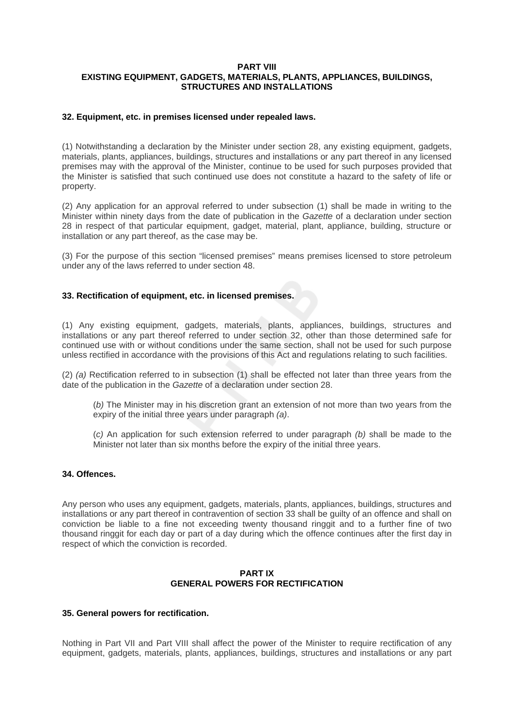### **PART VIII EXISTING EQUIPMENT, GADGETS, MATERIALS, PLANTS, APPLIANCES, BUILDINGS, STRUCTURES AND INSTALLATIONS**

### **32. Equipment, etc. in premises licensed under repealed laws.**

(1) Notwithstanding a declaration by the Minister under section 28, any existing equipment, gadgets, materials, plants, appliances, buildings, structures and installations or any part thereof in any licensed premises may with the approval of the Minister, continue to be used for such purposes provided that the Minister is satisfied that such continued use does not constitute a hazard to the safety of life or property.

(2) Any application for an approval referred to under subsection (1) shall be made in writing to the Minister within ninety days from the date of publication in the *Gazette* of a declaration under section 28 in respect of that particular equipment, gadget, material, plant, appliance, building, structure or installation or any part thereof, as the case may be.

(3) For the purpose of this section "licensed premises" means premises licensed to store petroleum under any of the laws referred to under section 48.

### **33. Rectification of equipment, etc. in licensed premises.**

(1) Any existing equipment, gadgets, materials, plants, appliances, buildings, structures and installations or any part thereof referred to under section 32, other than those determined safe for continued use with or without conditions under the same section, shall not be used for such purpose unless rectified in accordance with the provisions of this Act and regulations relating to such facilities.

(2) *(a)* Rectification referred to in subsection (1) shall be effected not later than three years from the date of the publication in the *Gazette* of a declaration under section 28.

(*b)* The Minister may in his discretion grant an extension of not more than two years from the expiry of the initial three years under paragraph *(a)*.

(*c)* An application for such extension referred to under paragraph *(b)* shall be made to the Minister not later than six months before the expiry of the initial three years.

### **34. Offences.**

Any person who uses any equipment, gadgets, materials, plants, appliances, buildings, structures and installations or any part thereof in contravention of section 33 shall be guilty of an offence and shall on conviction be liable to a fine not exceeding twenty thousand ringgit and to a further fine of two thousand ringgit for each day or part of a day during which the offence continues after the first day in respect of which the conviction is recorded.

### **PART IX GENERAL POWERS FOR RECTIFICATION**

### **35. General powers for rectification.**

Nothing in Part VII and Part VIII shall affect the power of the Minister to require rectification of any equipment, gadgets, materials, plants, appliances, buildings, structures and installations or any part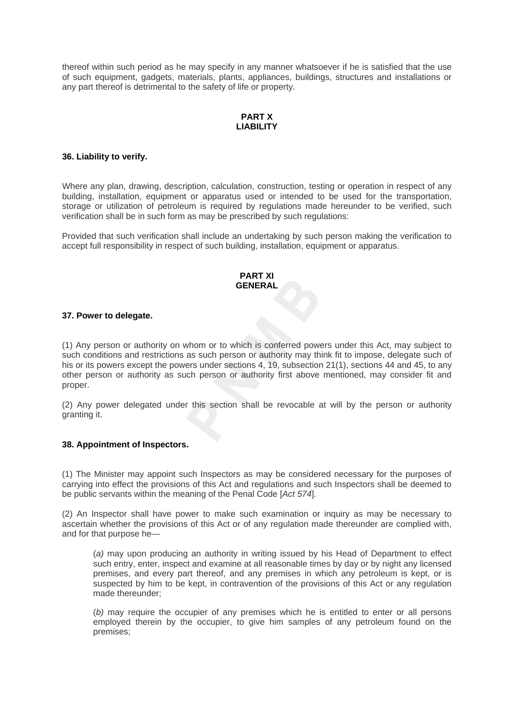thereof within such period as he may specify in any manner whatsoever if he is satisfied that the use of such equipment, gadgets, materials, plants, appliances, buildings, structures and installations or any part thereof is detrimental to the safety of life or property.

# **PART X LIABILITY**

### **36. Liability to verify.**

Where any plan, drawing, description, calculation, construction, testing or operation in respect of any building, installation, equipment or apparatus used or intended to be used for the transportation, storage or utilization of petroleum is required by regulations made hereunder to be verified, such verification shall be in such form as may be prescribed by such regulations:

Provided that such verification shall include an undertaking by such person making the verification to accept full responsibility in respect of such building, installation, equipment or apparatus.

### **PART XI GENERAL**

### **37. Power to delegate.**

(1) Any person or authority on whom or to which is conferred powers under this Act, may subject to such conditions and restrictions as such person or authority may think fit to impose, delegate such of his or its powers except the powers under sections 4, 19, subsection 21(1), sections 44 and 45, to any other person or authority as such person or authority first above mentioned, may consider fit and proper.

(2) Any power delegated under this section shall be revocable at will by the person or authority granting it.

### **38. Appointment of Inspectors.**

(1) The Minister may appoint such Inspectors as may be considered necessary for the purposes of carrying into effect the provisions of this Act and regulations and such Inspectors shall be deemed to be public servants within the meaning of the Penal Code [*Act 574*].

(2) An Inspector shall have power to make such examination or inquiry as may be necessary to ascertain whether the provisions of this Act or of any regulation made thereunder are complied with, and for that purpose he—

(*a)* may upon producing an authority in writing issued by his Head of Department to effect such entry, enter, inspect and examine at all reasonable times by day or by night any licensed premises, and every part thereof, and any premises in which any petroleum is kept, or is suspected by him to be kept, in contravention of the provisions of this Act or any regulation made thereunder;

(*b)* may require the occupier of any premises which he is entitled to enter or all persons employed therein by the occupier, to give him samples of any petroleum found on the premises;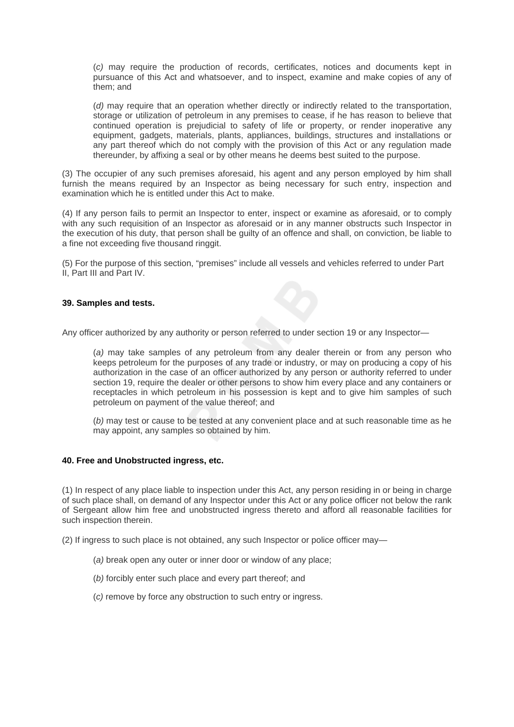(*c)* may require the production of records, certificates, notices and documents kept in pursuance of this Act and whatsoever, and to inspect, examine and make copies of any of them; and

(*d)* may require that an operation whether directly or indirectly related to the transportation, storage or utilization of petroleum in any premises to cease, if he has reason to believe that continued operation is prejudicial to safety of life or property, or render inoperative any equipment, gadgets, materials, plants, appliances, buildings, structures and installations or any part thereof which do not comply with the provision of this Act or any regulation made thereunder, by affixing a seal or by other means he deems best suited to the purpose.

(3) The occupier of any such premises aforesaid, his agent and any person employed by him shall furnish the means required by an Inspector as being necessary for such entry, inspection and examination which he is entitled under this Act to make.

(4) If any person fails to permit an Inspector to enter, inspect or examine as aforesaid, or to comply with any such requisition of an Inspector as aforesaid or in any manner obstructs such Inspector in the execution of his duty, that person shall be guilty of an offence and shall, on conviction, be liable to a fine not exceeding five thousand ringgit.

(5) For the purpose of this section, "premises" include all vessels and vehicles referred to under Part II, Part III and Part IV.

### **39. Samples and tests.**

Any officer authorized by any authority or person referred to under section 19 or any Inspector—

(*a)* may take samples of any petroleum from any dealer therein or from any person who keeps petroleum for the purposes of any trade or industry, or may on producing a copy of his authorization in the case of an officer authorized by any person or authority referred to under section 19, require the dealer or other persons to show him every place and any containers or receptacles in which petroleum in his possession is kept and to give him samples of such petroleum on payment of the value thereof; and

(*b)* may test or cause to be tested at any convenient place and at such reasonable time as he may appoint, any samples so obtained by him.

### **40. Free and Unobstructed ingress, etc.**

(1) In respect of any place liable to inspection under this Act, any person residing in or being in charge of such place shall, on demand of any Inspector under this Act or any police officer not below the rank of Sergeant allow him free and unobstructed ingress thereto and afford all reasonable facilities for such inspection therein.

(2) If ingress to such place is not obtained, any such Inspector or police officer may—

- (*a)* break open any outer or inner door or window of any place;
- (*b)* forcibly enter such place and every part thereof; and
- (*c)* remove by force any obstruction to such entry or ingress.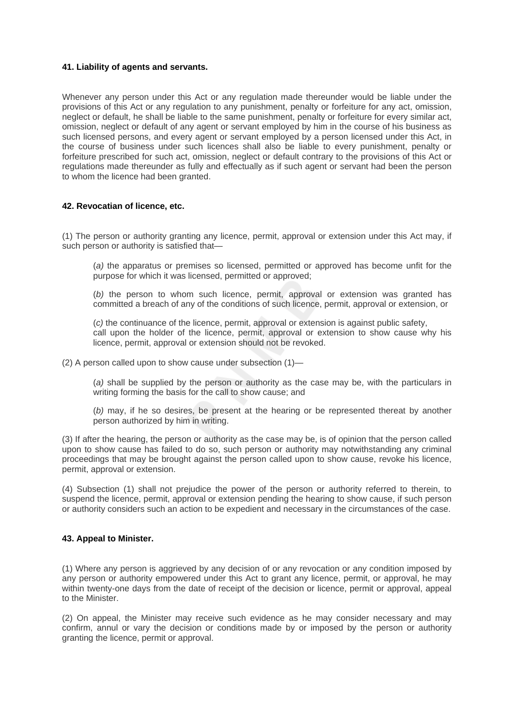### **41. Liability of agents and servants.**

Whenever any person under this Act or any regulation made thereunder would be liable under the provisions of this Act or any regulation to any punishment, penalty or forfeiture for any act, omission, neglect or default, he shall be liable to the same punishment, penalty or forfeiture for every similar act, omission, neglect or default of any agent or servant employed by him in the course of his business as such licensed persons, and every agent or servant employed by a person licensed under this Act, in the course of business under such licences shall also be liable to every punishment, penalty or forfeiture prescribed for such act, omission, neglect or default contrary to the provisions of this Act or regulations made thereunder as fully and effectually as if such agent or servant had been the person to whom the licence had been granted.

### **42. Revocatian of licence, etc.**

(1) The person or authority granting any licence, permit, approval or extension under this Act may, if such person or authority is satisfied that—

(*a)* the apparatus or premises so licensed, permitted or approved has become unfit for the purpose for which it was licensed, permitted or approved;

(*b)* the person to whom such licence, permit, approval or extension was granted has committed a breach of any of the conditions of such licence, permit, approval or extension, or

(*c)* the continuance of the licence, permit, approval or extension is against public safety, call upon the holder of the licence, permit, approval or extension to show cause why his licence, permit, approval or extension should not be revoked.

(2) A person called upon to show cause under subsection (1)—

(*a)* shall be supplied by the person or authority as the case may be, with the particulars in writing forming the basis for the call to show cause; and

(*b)* may, if he so desires, be present at the hearing or be represented thereat by another person authorized by him in writing.

(3) If after the hearing, the person or authority as the case may be, is of opinion that the person called upon to show cause has failed to do so, such person or authority may notwithstanding any criminal proceedings that may be brought against the person called upon to show cause, revoke his licence, permit, approval or extension.

(4) Subsection (1) shall not prejudice the power of the person or authority referred to therein, to suspend the licence, permit, approval or extension pending the hearing to show cause, if such person or authority considers such an action to be expedient and necessary in the circumstances of the case.

### **43. Appeal to Minister.**

(1) Where any person is aggrieved by any decision of or any revocation or any condition imposed by any person or authority empowered under this Act to grant any licence, permit, or approval, he may within twenty-one days from the date of receipt of the decision or licence, permit or approval, appeal to the Minister.

(2) On appeal, the Minister may receive such evidence as he may consider necessary and may confirm, annul or vary the decision or conditions made by or imposed by the person or authority granting the licence, permit or approval.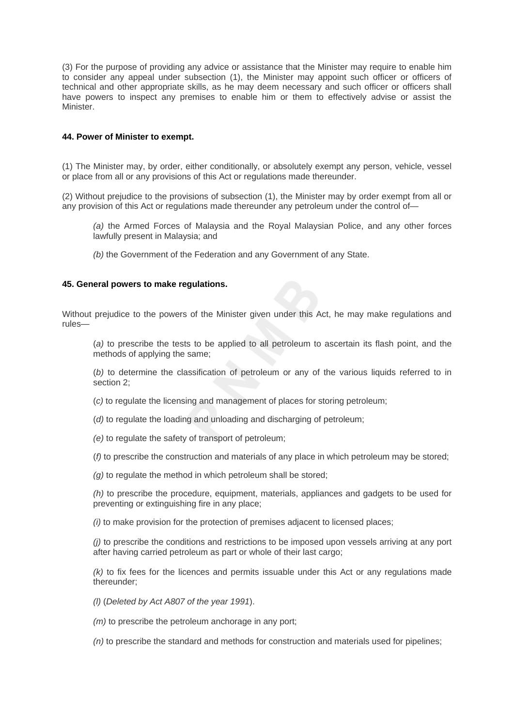(3) For the purpose of providing any advice or assistance that the Minister may require to enable him to consider any appeal under subsection (1), the Minister may appoint such officer or officers of technical and other appropriate skills, as he may deem necessary and such officer or officers shall have powers to inspect any premises to enable him or them to effectively advise or assist the Minister.

# **44. Power of Minister to exempt.**

(1) The Minister may, by order, either conditionally, or absolutely exempt any person, vehicle, vessel or place from all or any provisions of this Act or regulations made thereunder.

(2) Without prejudice to the provisions of subsection (1), the Minister may by order exempt from all or any provision of this Act or regulations made thereunder any petroleum under the control of—

- *(a)* the Armed Forces of Malaysia and the Royal Malaysian Police, and any other forces lawfully present in Malaysia; and
- *(b)* the Government of the Federation and any Government of any State.

### **45. General powers to make regulations.**

Without prejudice to the powers of the Minister given under this Act, he may make regulations and rules—

(*a)* to prescribe the tests to be applied to all petroleum to ascertain its flash point, and the methods of applying the same;

(*b)* to determine the classification of petroleum or any of the various liquids referred to in section 2;

(*c)* to regulate the licensing and management of places for storing petroleum;

(*d)* to regulate the loading and unloading and discharging of petroleum;

*(e)* to regulate the safety of transport of petroleum;

(*f)* to prescribe the construction and materials of any place in which petroleum may be stored;

*(g)* to regulate the method in which petroleum shall be stored;

*(h)* to prescribe the procedure, equipment, materials, appliances and gadgets to be used for preventing or extinguishing fire in any place;

*(i)* to make provision for the protection of premises adjacent to licensed places;

*(j)* to prescribe the conditions and restrictions to be imposed upon vessels arriving at any port after having carried petroleum as part or whole of their last cargo;

*(k)* to fix fees for the licences and permits issuable under this Act or any regulations made thereunder;

*(l)* (*Deleted by Act A807 of the year 1991*).

*(m)* to prescribe the petroleum anchorage in any port;

*(n)* to prescribe the standard and methods for construction and materials used for pipelines;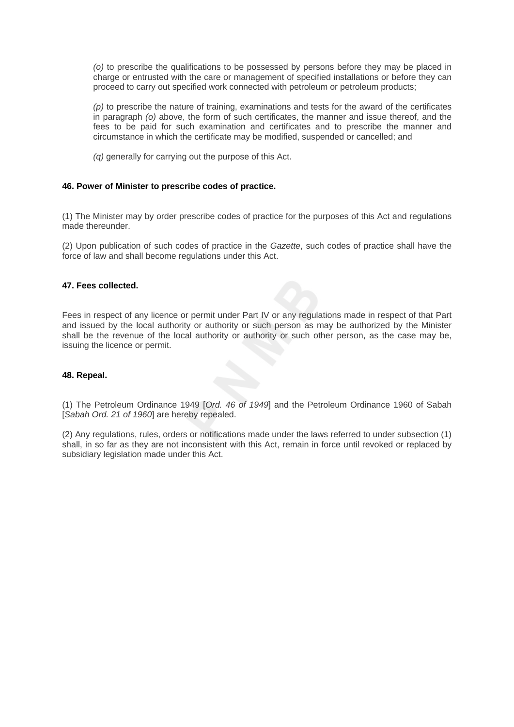*(o)* to prescribe the qualifications to be possessed by persons before they may be placed in charge or entrusted with the care or management of specified installations or before they can proceed to carry out specified work connected with petroleum or petroleum products;

*(p)* to prescribe the nature of training, examinations and tests for the award of the certificates in paragraph *(o)* above, the form of such certificates, the manner and issue thereof, and the fees to be paid for such examination and certificates and to prescribe the manner and circumstance in which the certificate may be modified, suspended or cancelled; and

*(a)* generally for carrying out the purpose of this Act.

# **46. Power of Minister to prescribe codes of practice.**

(1) The Minister may by order prescribe codes of practice for the purposes of this Act and regulations made thereunder.

(2) Upon publication of such codes of practice in the *Gazette*, such codes of practice shall have the force of law and shall become regulations under this Act.

### **47. Fees collected.**

Fees in respect of any licence or permit under Part IV or any regulations made in respect of that Part and issued by the local authority or authority or such person as may be authorized by the Minister shall be the revenue of the local authority or authority or such other person, as the case may be, issuing the licence or permit.

### **48. Repeal.**

(1) The Petroleum Ordinance 1949 [*Ord. 46 of 1949*] and the Petroleum Ordinance 1960 of Sabah [*Sabah Ord. 21 of 1960*] are hereby repealed.

(2) Any regulations, rules, orders or notifications made under the laws referred to under subsection (1) shall, in so far as they are not inconsistent with this Act, remain in force until revoked or replaced by subsidiary legislation made under this Act.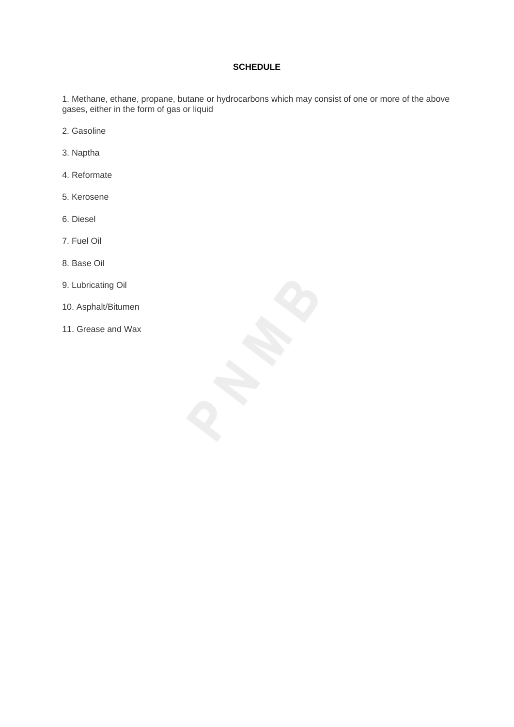# **SCHEDULE**

1. Methane, ethane, propane, butane or hydrocarbons which may consist of one or more of the above gases, either in the form of gas or liquid

- 2. Gasoline
- 3. Naptha
- 4. Reformate
- 5. Kerosene
- 6. Diesel
- 7. Fuel Oil
- 8. Base Oil
- 9. Lubricating Oil
- 10. Asphalt/Bitumen
- 11. Grease and Wax